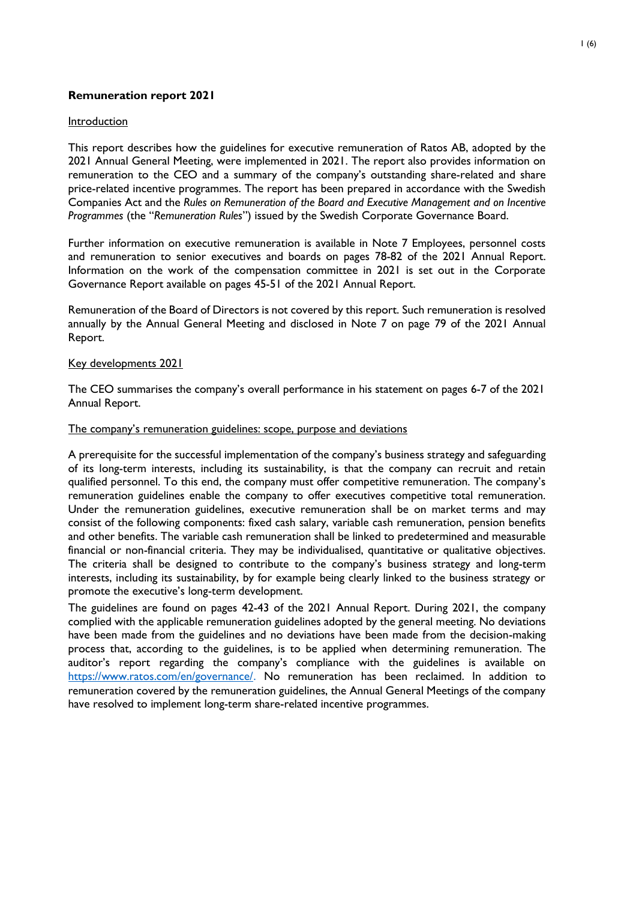## **Remuneration report 2021**

### **Introduction**

This report describes how the guidelines for executive remuneration of Ratos AB, adopted by the 2021 Annual General Meeting, were implemented in 2021. The report also provides information on remuneration to the CEO and a summary of the company's outstanding share-related and share price-related incentive programmes. The report has been prepared in accordance with the Swedish Companies Act and the *Rules on Remuneration of the Board and Executive Management and on Incentive Programmes* (the "*Remuneration Rules*") issued by the Swedish Corporate Governance Board.

Further information on executive remuneration is available in Note 7 Employees, personnel costs and remuneration to senior executives and boards on pages 78-82 of the 2021 Annual Report. Information on the work of the compensation committee in 2021 is set out in the Corporate Governance Report available on pages 45-51 of the 2021 Annual Report.

Remuneration of the Board of Directors is not covered by this report. Such remuneration is resolved annually by the Annual General Meeting and disclosed in Note 7 on page 79 of the 2021 Annual Report.

### Key developments 2021

The CEO summarises the company's overall performance in his statement on pages 6-7 of the 2021 Annual Report.

#### The company's remuneration guidelines: scope, purpose and deviations

A prerequisite for the successful implementation of the company's business strategy and safeguarding of its long-term interests, including its sustainability, is that the company can recruit and retain qualified personnel. To this end, the company must offer competitive remuneration. The company's remuneration guidelines enable the company to offer executives competitive total remuneration. Under the remuneration guidelines, executive remuneration shall be on market terms and may consist of the following components: fixed cash salary, variable cash remuneration, pension benefits and other benefits. The variable cash remuneration shall be linked to predetermined and measurable financial or non-financial criteria. They may be individualised, quantitative or qualitative objectives. The criteria shall be designed to contribute to the company's business strategy and long-term interests, including its sustainability, by for example being clearly linked to the business strategy or promote the executive's long-term development.

The guidelines are found on pages 42-43 of the 2021 Annual Report. During 2021, the company complied with the applicable remuneration guidelines adopted by the general meeting. No deviations have been made from the guidelines and no deviations have been made from the decision-making process that, according to the guidelines, is to be applied when determining remuneration. The auditor's report regarding the company's compliance with the guidelines is available on [https://www.ratos.com/en/governance/](http://www.ratos.com/bolagsstyrning.). No remuneration has been reclaimed. In addition to remuneration covered by the remuneration guidelines, the Annual General Meetings of the company have resolved to implement long-term share-related incentive programmes.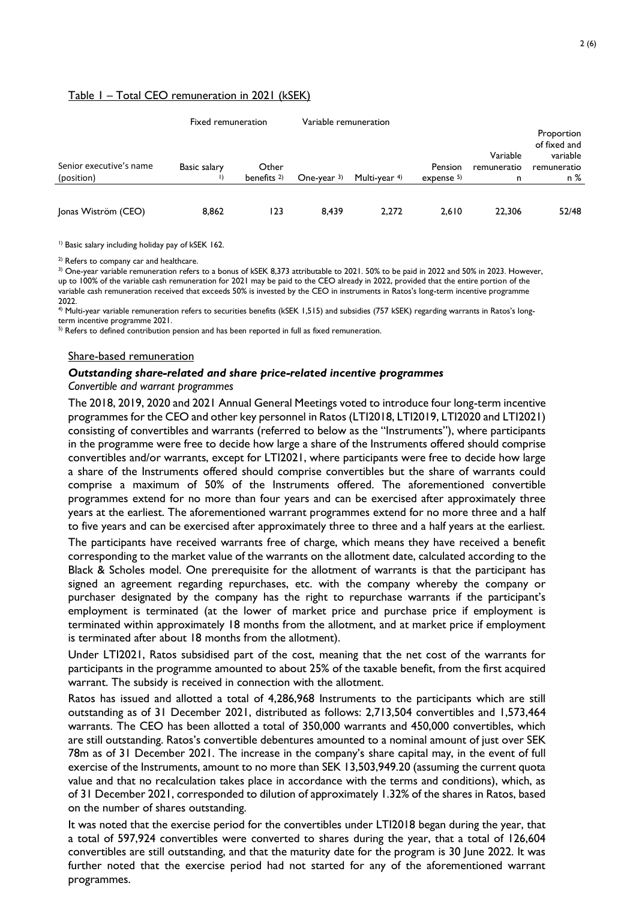#### Table 1 – Total CEO remuneration in 2021 (kSEK)

|                         | Fixed remuneration |             | Variable remuneration |               |               |                         | Proportion<br>of fixed and |
|-------------------------|--------------------|-------------|-----------------------|---------------|---------------|-------------------------|----------------------------|
| Senior executive's name | Basic salary       | Other       |                       |               | Pension       | Variable<br>remuneratio | variable<br>remuneratio    |
| (position)              |                    | benefits 2) | One-year $3$          | Multi-year 4) | expense $5$ ) | n                       | n %                        |
| Jonas Wiström (CEO)     | 8,862              | 123         | 8.439                 | 2.272         | 2,610         | 22,306                  | 52/48                      |

<sup>1)</sup> Basic salary including holiday pay of kSEK 162.

<sup>2)</sup> Refers to company car and healthcare.

<sup>3)</sup> One-year variable remuneration refers to a bonus of kSEK 8,373 attributable to 2021. 50% to be paid in 2022 and 50% in 2023. However, up to 100% of the variable cash remuneration for 2021 may be paid to the CEO already in 2022, provided that the entire portion of the variable cash remuneration received that exceeds 50% is invested by the CEO in instruments in Ratos's long-term incentive programme 2022.

4) Multi-year variable remuneration refers to securities benefits (kSEK 1,515) and subsidies (757 kSEK) regarding warrants in Ratos's longterm incentive programme 2021.

 $5$ ) Refers to defined contribution pension and has been reported in full as fixed remuneration.

#### Share-based remuneration

# *Outstanding share-related and share price-related incentive programmes*

#### *Convertible and warrant programmes*

The 2018, 2019, 2020 and 2021 Annual General Meetings voted to introduce four long-term incentive programmes for the CEO and other key personnel in Ratos (LTI2018, LTI2019, LTI2020 and LTI2021) consisting of convertibles and warrants (referred to below as the "Instruments"), where participants in the programme were free to decide how large a share of the Instruments offered should comprise convertibles and/or warrants, except for LTI2021, where participants were free to decide how large a share of the Instruments offered should comprise convertibles but the share of warrants could comprise a maximum of 50% of the Instruments offered. The aforementioned convertible programmes extend for no more than four years and can be exercised after approximately three years at the earliest. The aforementioned warrant programmes extend for no more three and a half to five years and can be exercised after approximately three to three and a half years at the earliest.

The participants have received warrants free of charge, which means they have received a benefit corresponding to the market value of the warrants on the allotment date, calculated according to the Black & Scholes model. One prerequisite for the allotment of warrants is that the participant has signed an agreement regarding repurchases, etc. with the company whereby the company or purchaser designated by the company has the right to repurchase warrants if the participant's employment is terminated (at the lower of market price and purchase price if employment is terminated within approximately 18 months from the allotment, and at market price if employment is terminated after about 18 months from the allotment).

Under LTI2021, Ratos subsidised part of the cost, meaning that the net cost of the warrants for participants in the programme amounted to about 25% of the taxable benefit, from the first acquired warrant. The subsidy is received in connection with the allotment.

Ratos has issued and allotted a total of 4,286,968 Instruments to the participants which are still outstanding as of 31 December 2021, distributed as follows: 2,713,504 convertibles and 1,573,464 warrants. The CEO has been allotted a total of 350,000 warrants and 450,000 convertibles, which are still outstanding. Ratos's convertible debentures amounted to a nominal amount of just over SEK 78m as of 31 December 2021. The increase in the company's share capital may, in the event of full exercise of the Instruments, amount to no more than SEK 13,503,949.20 (assuming the current quota value and that no recalculation takes place in accordance with the terms and conditions), which, as of 31 December 2021, corresponded to dilution of approximately 1.32% of the shares in Ratos, based on the number of shares outstanding.

It was noted that the exercise period for the convertibles under LTI2018 began during the year, that a total of 597,924 convertibles were converted to shares during the year, that a total of 126,604 convertibles are still outstanding, and that the maturity date for the program is 30 June 2022. It was further noted that the exercise period had not started for any of the aforementioned warrant programmes.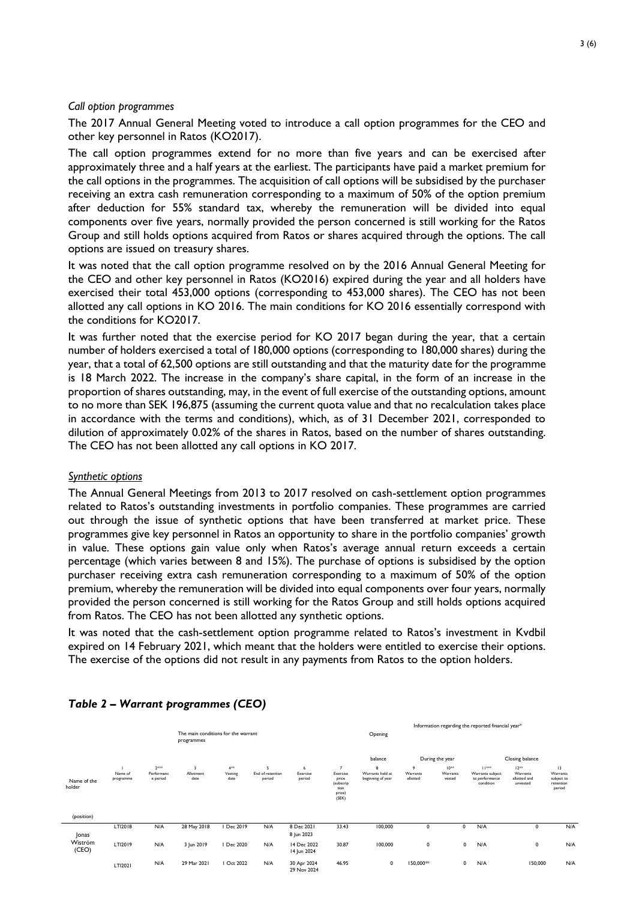#### *Call option programmes*

The 2017 Annual General Meeting voted to introduce a call option programmes for the CEO and other key personnel in Ratos (KO2017).

The call option programmes extend for no more than five years and can be exercised after approximately three and a half years at the earliest. The participants have paid a market premium for the call options in the programmes. The acquisition of call options will be subsidised by the purchaser receiving an extra cash remuneration corresponding to a maximum of 50% of the option premium after deduction for 55% standard tax, whereby the remuneration will be divided into equal components over five years, normally provided the person concerned is still working for the Ratos Group and still holds options acquired from Ratos or shares acquired through the options. The call options are issued on treasury shares.

It was noted that the call option programme resolved on by the 2016 Annual General Meeting for the CEO and other key personnel in Ratos (KO2016) expired during the year and all holders have exercised their total 453,000 options (corresponding to 453,000 shares). The CEO has not been allotted any call options in KO 2016. The main conditions for KO 2016 essentially correspond with the conditions for KO2017.

It was further noted that the exercise period for KO 2017 began during the year, that a certain number of holders exercised a total of 180,000 options (corresponding to 180,000 shares) during the year, that a total of 62,500 options are still outstanding and that the maturity date for the programme is 18 March 2022. The increase in the company's share capital, in the form of an increase in the proportion of shares outstanding, may, in the event of full exercise of the outstanding options, amount to no more than SEK 196,875 (assuming the current quota value and that no recalculation takes place in accordance with the terms and conditions), which, as of 31 December 2021, corresponded to dilution of approximately 0.02% of the shares in Ratos, based on the number of shares outstanding. The CEO has not been allotted any call options in KO 2017.

#### *Synthetic options*

The Annual General Meetings from 2013 to 2017 resolved on cash-settlement option programmes related to Ratos's outstanding investments in portfolio companies. These programmes are carried out through the issue of synthetic options that have been transferred at market price. These programmes give key personnel in Ratos an opportunity to share in the portfolio companies' growth in value. These options gain value only when Ratos's average annual return exceeds a certain percentage (which varies between 8 and 15%). The purchase of options is subsidised by the option purchaser receiving extra cash remuneration corresponding to a maximum of 50% of the option premium, whereby the remuneration will be divided into equal components over four years, normally provided the person concerned is still working for the Ratos Group and still holds options acquired from Ratos. The CEO has not been allotted any synthetic options.

It was noted that the cash-settlement option programme related to Ratos's investment in Kvdbil expired on 14 February 2021, which meant that the holders were entitled to exercise their options. The exercise of the options did not result in any payments from Ratos to the option holders.

|                       | The main conditions for the warrant<br>programmes |                                  |                        |                             |                                 |                            | Opening                                                   | Information regarding the reported financial year* |                                        |                                 |                                                          |                                                 |                                                     |
|-----------------------|---------------------------------------------------|----------------------------------|------------------------|-----------------------------|---------------------------------|----------------------------|-----------------------------------------------------------|----------------------------------------------------|----------------------------------------|---------------------------------|----------------------------------------------------------|-------------------------------------------------|-----------------------------------------------------|
|                       |                                                   |                                  |                        |                             |                                 |                            |                                                           | balance                                            |                                        | During the year                 |                                                          | Closing balance                                 |                                                     |
| Name of the<br>holder | Name of<br>programme                              | $2***$<br>Performanc<br>e period | 3<br>Allotment<br>date | $4^{++}$<br>Vesting<br>date | 5<br>End of retention<br>period | 6<br>Exercise<br>period    | Exercise<br>price<br>(subscrip<br>tion<br>price)<br>(SEK) | 8<br>Warrants held at<br>beginning of year         | $\overline{9}$<br>Warrants<br>allotted | $10^{+8}$<br>Warrants<br>vested | 11***<br>Warrants subject<br>to performance<br>condition | $12***$<br>Warrants<br>allotted and<br>unvested | 13<br>Warrants<br>subject to<br>retention<br>period |
| (position)            |                                                   |                                  |                        |                             |                                 |                            |                                                           |                                                    |                                        |                                 |                                                          |                                                 |                                                     |
| Jonas                 | LTI2018                                           | N/A                              | 28 May 2018            | I Dec 2019                  | N/A                             | 8 Dec 2021<br>8 Jun 2023   | 33.43                                                     | 100,000                                            | $\mathbf 0$                            |                                 | N/A<br>0                                                 | $\mathbf 0$                                     | N/A                                                 |
| Wiström<br>(CEO)      | LTI2019                                           | N/A                              | 3 Jun 2019             | I Dec 2020                  | N/A                             | 14 Dec 2022<br>14 Jun 2024 | 30.87                                                     | 100,000                                            | 0                                      |                                 | N/A<br>$\mathbf 0$                                       | 0                                               | N/A                                                 |
|                       | LTI2021                                           | N/A                              | 29 Mar 2021            | Oct 2022                    | N/A                             | 30 Apr 2024<br>29 Nov 2024 | 46.95                                                     | $\mathbf 0$                                        | 150,000**                              |                                 | N/A<br>$\mathbf 0$                                       | 150,000                                         | N/A                                                 |

## *Table 2 – Warrant programmes (CEO)*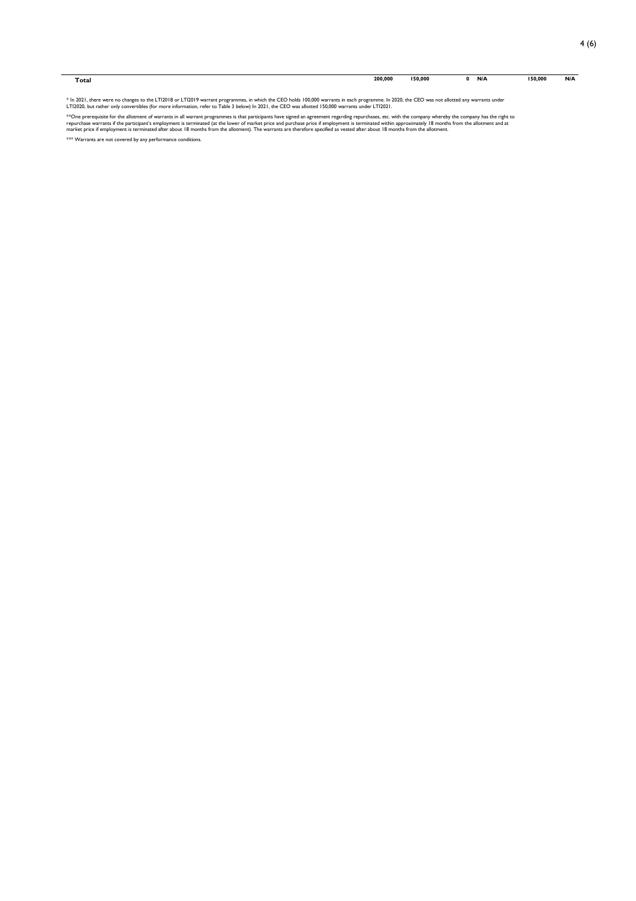| Total | 200,000<br>. | 150,000 | N/A | 150,000<br>$\sim$ $\sim$ $\sim$ | N/A |
|-------|--------------|---------|-----|---------------------------------|-----|
|       |              |         |     |                                 |     |

\* In 2021, there were no changes to the LT12018 or LT12019 warrant programmes, in which the CEO holds 100,000 warrants in each programme. In 2020, the CEO was not allotted any warrants under<br>LT12020, but rather only conver

\*\*One prerequisite for the allotment of warrants in all warrant programmes is that participants have signed an agreement regarding repurchases, etc. with the company whereby the company has the right to the the right to t

\*\*\* Warrants are not covered by any performance conditions.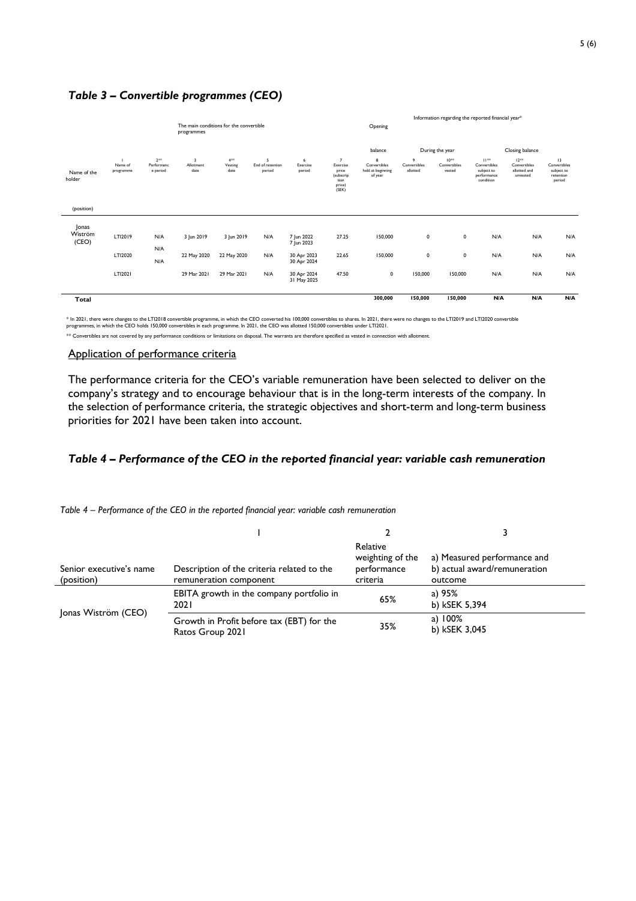# *Table 3 – Convertible programmes (CEO)*

|                           |                      |                                  |                                                       |                              |                                 | Information regarding the reported financial year*     |                                                                             |                                                   |                               |                                     |                                                                     |                                                     |                                                         |
|---------------------------|----------------------|----------------------------------|-------------------------------------------------------|------------------------------|---------------------------------|--------------------------------------------------------|-----------------------------------------------------------------------------|---------------------------------------------------|-------------------------------|-------------------------------------|---------------------------------------------------------------------|-----------------------------------------------------|---------------------------------------------------------|
|                           |                      |                                  | The main conditions for the convertible<br>programmes |                              |                                 |                                                        |                                                                             | Opening                                           |                               |                                     |                                                                     |                                                     |                                                         |
|                           |                      |                                  |                                                       |                              |                                 |                                                        |                                                                             | balance                                           |                               | During the year                     |                                                                     | Closing balance                                     |                                                         |
| Name of the<br>holder     | Name of<br>programme | $2***$<br>Performanc<br>e period | 3<br>Allotment<br>date                                | $4^{4+8}$<br>Vesting<br>date | 5<br>End of retention<br>period | 6<br>Exercise<br>period                                | $\overline{7}$<br>Exercise<br>price<br>(subscrip<br>tion<br>price)<br>(SEK) | 8<br>Convertibles<br>held at beginning<br>of year | 9<br>Convertibles<br>allotted | $10^{+8}$<br>Convertibles<br>vested | $11^{44}$<br>Convertibles<br>subject to<br>performance<br>condition | $12***$<br>Convertibles<br>allotted and<br>unvested | 13<br>Convertibles<br>subject to<br>retention<br>period |
| (position)                |                      |                                  |                                                       |                              |                                 |                                                        |                                                                             |                                                   |                               |                                     |                                                                     |                                                     |                                                         |
| Jonas<br>Wiström<br>(CEO) | LTI2019<br>LTI2020   | N/A<br>N/A<br>N/A                | 3 Jun 2019<br>22 May 2020                             | 3 Jun 2019<br>22 May 2020    | N/A<br>N/A                      | 7 Jun 2022<br>7 Jun 2023<br>30 Apr 2023<br>30 Apr 2024 | 27.25<br>22.65                                                              | 150,000<br>150,000                                | $\mathsf 0$<br>$\mathbf 0$    | $\mathbf 0$<br>$\mathbf 0$          | N/A<br>N/A                                                          | N/A<br>N/A                                          | N/A<br>N/A                                              |
|                           | LTI2021              |                                  | 29 Mar 2021                                           | 29 Mar 2021                  | N/A                             | 30 Apr 2024<br>31 May 2025                             | 47.50                                                                       | $\pmb{0}$                                         | 150,000                       | 150,000                             | N/A                                                                 | N/A                                                 | N/A                                                     |
| Total                     |                      |                                  |                                                       |                              |                                 |                                                        |                                                                             | 300,000                                           | 150,000                       | 150,000                             | N/A                                                                 | N/A                                                 | N/A                                                     |

\* In 2021, there were changes to the LT12018 convertible programme, in which the CEO converted his 100,000 convertibles to shares. In 2021, there were no changes to the LT12019 and LT12020 convertible<br>programmes, in which

\*\* Convertibles are not covered by any performance conditions or limitations on disposal. The warrants are therefore specified as vested in connection with allotment

## Application of performance criteria

The performance criteria for the CEO's variable remuneration have been selected to deliver on the company's strategy and to encourage behaviour that is in the long-term interests of the company. In the selection of performance criteria, the strategic objectives and short-term and long-term business priorities for 2021 have been taken into account.

## *Table 4 – Performance of the CEO in the reported financial year: variable cash remuneration*

*Table 4 – Performance of the CEO in the reported financial year: variable cash remuneration*

| Senior executive's name<br>(position) | Description of the criteria related to the<br>remuneration component | Relative<br>weighting of the<br>performance<br>criteria | a) Measured performance and<br>b) actual award/remuneration<br>outcome |
|---------------------------------------|----------------------------------------------------------------------|---------------------------------------------------------|------------------------------------------------------------------------|
| Jonas Wiström (CEO)                   | EBITA growth in the company portfolio in<br>2021                     | 65%                                                     | a) 95%<br>b) kSEK 5,394                                                |
|                                       | Growth in Profit before tax (EBT) for the<br>Ratos Group 2021        | 35%                                                     | a) $100\%$<br>b) kSEK 3,045                                            |